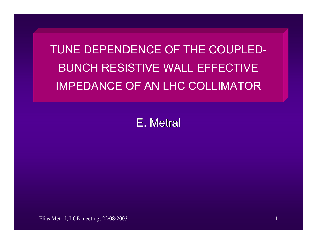TUNE DEPENDENCE OF THE COUPLED-BUNCH RESISTIVE WALL EFFECTIVE IMPEDANCE OF AN LHC COLLIMATOR

E. Metral

Elias Metral, LCE meeting, 22/08/2003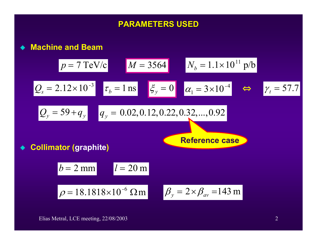## **PARAMETERS USED PARAMETERS USED**

**Machine and Beam**

♦

$$
p = 7 \text{ TeV/c}
$$
  
\n
$$
M = 3564
$$
  
\n
$$
N_b = 1.1 \times 10^{11} \text{ p/b}
$$
  
\n
$$
Q_s = 2.12 \times 10^{-3}
$$
  
\n
$$
\tau_b = 1 \text{ ns}
$$
  
\n
$$
\xi_y = 0
$$
  
\n
$$
\alpha_1 = 3 \times 10^{-4}
$$
  
\n⇒ 
$$
\gamma_t = 57.7
$$
  
\n
$$
Q_y = 59 + q_y
$$
  
\n
$$
q_y = 0.02, 0.12, 0.22, 0.32, ..., 0.92
$$
  
\n• **Collimator (graphite)**  
\n
$$
b = 2 \text{ mm}
$$
  
\n
$$
l = 20 \text{ m}
$$
  
\n
$$
\rho = 18.1818 \times 10^{-6} \text{ }\Omega \text{ m}
$$
  
\n
$$
\beta_y = 2 \times \beta_{av} = 143 \text{ m}
$$